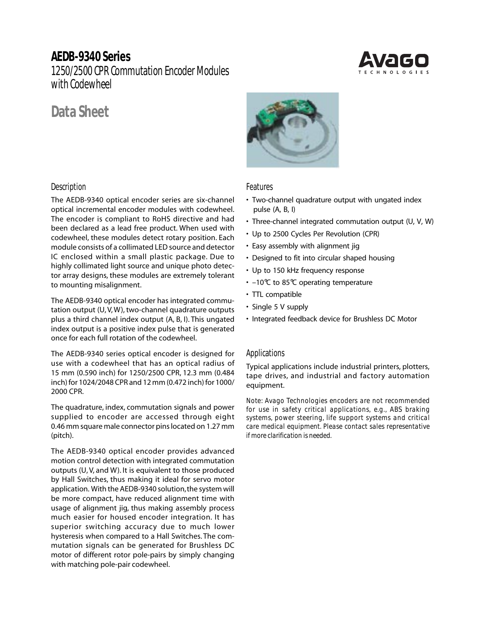# **AEDB-9340 Series**

1250/2500 CPR Commutation Encoder Modules with Codewheel

# **Data Sheet**

### **Description**

The AEDB-9340 optical encoder series are six-channel optical incremental encoder modules with codewheel. The encoder is compliant to RoHS directive and had been declared as a lead free product. When used with codewheel, these modules detect rotary position. Each module consists of a collimated LED source and detector IC enclosed within a small plastic package. Due to highly collimated light source and unique photo detector array designs, these modules are extremely tolerant to mounting misalignment.

The AEDB-9340 optical encoder has integrated commutation output (U, V, W), two-channel quadrature outputs plus a third channel index output (A, B, I). This ungated index output is a positive index pulse that is generated once for each full rotation of the codewheel.

The AEDB-9340 series optical encoder is designed for use with a codewheel that has an optical radius of 15 mm (0.590 inch) for 1250/2500 CPR, 12.3 mm (0.484 inch) for 1024/2048 CPR and 12 mm (0.472 inch) for 1000/ 2000 CPR.

The quadrature, index, commutation signals and power supplied to encoder are accessed through eight 0.46 mm square male connector pins located on 1.27 mm (pitch).

The AEDB-9340 optical encoder provides advanced motion control detection with integrated commutation outputs (U, V, and W). It is equivalent to those produced by Hall Switches, thus making it ideal for servo motor application. With the AEDB-9340 solution, the system will be more compact, have reduced alignment time with usage of alignment jig, thus making assembly process much easier for housed encoder integration. It has superior switching accuracy due to much lower hysteresis when compared to a Hall Switches. The commutation signals can be generated for Brushless DC motor of different rotor pole-pairs by simply changing with matching pole-pair codewheel.



#### **Features**

- Two-channel quadrature output with ungated index pulse (A, B, I)
- Three-channel integrated commutation output (U, V, W)
- Up to 2500 Cycles Per Revolution (CPR)
- Easy assembly with alignment jig
- Designed to fit into circular shaped housing
- Up to 150 kHz frequency response
- –10°C to 85°C operating temperature
- TTL compatible
- Single 5 V supply
- Integrated feedback device for Brushless DC Motor

#### **Applications**

Typical applications include industrial printers, plotters, tape drives, and industrial and factory automation equipment.

*Note: Avago Technologies encoders are not recommended for use in safety critical applications, e.g., ABS braking systems, power steering, life support systems and critical care medical equipment. Please contact sales representative if more clarification is needed.*

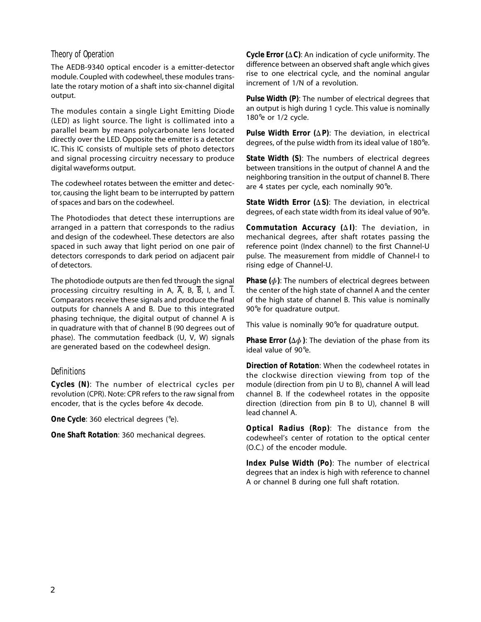#### **Theory of Operation**

The AEDB-9340 optical encoder is a emitter-detector module. Coupled with codewheel, these modules translate the rotary motion of a shaft into six-channel digital output.

The modules contain a single Light Emitting Diode (LED) as light source. The light is collimated into a parallel beam by means polycarbonate lens located directly over the LED. Opposite the emitter is a detector IC. This IC consists of multiple sets of photo detectors and signal processing circuitry necessary to produce digital waveforms output.

The codewheel rotates between the emitter and detector, causing the light beam to be interrupted by pattern of spaces and bars on the codewheel.

The Photodiodes that detect these interruptions are arranged in a pattern that corresponds to the radius and design of the codewheel. These detectors are also spaced in such away that light period on one pair of detectors corresponds to dark period on adjacent pair of detectors.

The photodiode outputs are then fed through the signal processing circuitry resulting in A,  $\overline{A}$ , B,  $\overline{B}$ , I, and  $\overline{I}$ . Comparators receive these signals and produce the final outputs for channels A and B. Due to this integrated phasing technique, the digital output of channel A is in quadrature with that of channel B (90 degrees out of phase). The commutation feedback (U, V, W) signals are generated based on the codewheel design.

### **Definitions**

*Cycles (N):* The number of electrical cycles per revolution (CPR). Note: CPR refers to the raw signal from encoder, that is the cycles before 4x decode.

*One Cycle:* 360 electrical degrees (°e).

*One Shaft Rotation:* 360 mechanical degrees.

*Cycle Error (* $\Delta C$ *)*: An indication of cycle uniformity. The difference between an observed shaft angle which gives rise to one electrical cycle, and the nominal angular increment of 1/N of a revolution.

*Pulse Width (P):* The number of electrical degrees that an output is high during 1 cycle. This value is nominally 180 $^{\circ}$ e or 1/2 cycle.

*Pulse Width Error*  $(\Delta P)$ *:* The deviation, in electrical degrees, of the pulse width from its ideal value of 180°e.

*State Width (S):* The numbers of electrical degrees between transitions in the output of channel A and the neighboring transition in the output of channel B. There are 4 states per cycle, each nominally 90°e.

*State Width Error (*D*S):* The deviation, in electrical degrees, of each state width from its ideal value of 90°e.

*Commutation Accuracy (*D *I):* The deviation, in mechanical degrees, after shaft rotates passing the reference point (Index channel) to the first Channel-U pulse. The measurement from middle of Channel-I to rising edge of Channel-U.

**Phase**  $(\phi)$ : The numbers of electrical degrees between the center of the high state of channel A and the center of the high state of channel B. This value is nominally 90°e for quadrature output.

This value is nominally 90°e for quadrature output.

*Phase Error (* $\Delta \phi$ *):* The deviation of the phase from its ideal value of 90°e.

*Direction of Rotation:* When the codewheel rotates in the clockwise direction viewing from top of the module (direction from pin U to B), channel A will lead channel B. If the codewheel rotates in the opposite direction (direction from pin B to U), channel B will lead channel A.

*Optical Radius (Rop):* The distance from the codewheel's center of rotation to the optical center (O.C.) of the encoder module.

*Index Pulse Width (Po):* The number of electrical degrees that an index is high with reference to channel A or channel B during one full shaft rotation.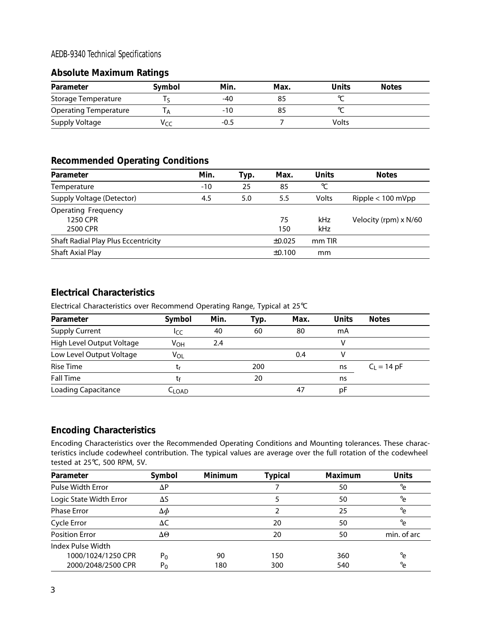### **AEDB-9340 Technical Specifications**

### **Absolute Maximum Ratings**

| Parameter                  | Symbol | Min.   | <b>Max</b> | <b>Units</b> | <b>Notes</b> |
|----------------------------|--------|--------|------------|--------------|--------------|
| <b>Storage Temperature</b> |        | -40    |            |              |              |
| Operating Temperature      |        | -10    |            |              |              |
| Supply Voltage             | Vrr    | $-0.5$ |            | <b>Volts</b> |              |

## **Recommended Operating Conditions**

| Parameter                                  | Min.  | Typ. | Max.        | <b>Units</b> | <b>Notes</b>          |
|--------------------------------------------|-------|------|-------------|--------------|-----------------------|
| Temperature                                | $-10$ | 25   | 85          | °C           |                       |
| Supply Voltage (Detector)                  | 4.5   | 5.0  | 5.5         | Volts        | Ripple $< 100$ mVpp   |
| <b>Operating Frequency</b>                 |       |      |             |              |                       |
| 1250 CPR                                   |       |      | 75          | kHz          | Velocity (rpm) x N/60 |
| 2500 CPR                                   |       |      | 150         | kHz          |                       |
| <b>Shaft Radial Play Plus Eccentricity</b> |       |      | $\pm 0.025$ | mm TIR       |                       |
| Shaft Axial Play                           |       |      | ±0.100      | mm           |                       |

### **Electrical Characteristics**

Electrical Characteristics over Recommend Operating Range, Typical at 25°C

| Parameter                  | Symbol          | Min. | Typ. | Max. | <b>Units</b> | <b>Notes</b>  |
|----------------------------|-----------------|------|------|------|--------------|---------------|
| <b>Supply Current</b>      | ICC             | 40   | 60   | 80   | mA           |               |
| High Level Output Voltage  | V <sub>OH</sub> | 2.4  |      |      | v            |               |
| Low Level Output Voltage   | VOL             |      |      | 0.4  |              |               |
| <b>Rise Time</b>           | ιr              |      | 200  |      | ns           | $C_1 = 14 pF$ |
| <b>Fall Time</b>           | tғ              |      | 20   |      | ns           |               |
| <b>Loading Capacitance</b> | $-LOAD$         |      |      | 47   | рF           |               |

### **Encoding Characteristics**

Encoding Characteristics over the Recommended Operating Conditions and Mounting tolerances. These characteristics include codewheel contribution. The typical values are average over the full rotation of the codewheel tested at 25°C, 500 RPM, 5V.

| Parameter                | Symbol         | <b>Minimum</b> | <b>Typical</b> | <b>Maximum</b> | <b>Units</b>   |
|--------------------------|----------------|----------------|----------------|----------------|----------------|
| <b>Pulse Width Error</b> | $\Delta P$     |                |                | 50             | $\circ_{\rho}$ |
| Logic State Width Error  | $\Delta S$     |                |                | 50             | $\circ_{\rho}$ |
| <b>Phase Error</b>       | $\Delta \phi$  |                |                | 25             | $\circ_{\rho}$ |
| Cycle Error              | ΔC             |                | 20             | 50             | $^{\circ}$ e   |
| <b>Position Error</b>    | ΔΘ             |                | 20             | 50             | min. of arc    |
| Index Pulse Width        |                |                |                |                |                |
| 1000/1024/1250 CPR       | $P_0$          | 90             | 150            | 360            | °e             |
| 2000/2048/2500 CPR       | P <sub>0</sub> | 180            | 300            | 540            | $^{\circ}$ e   |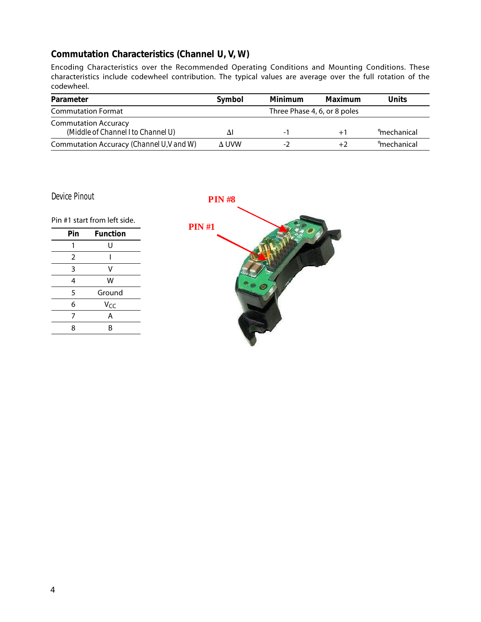# **Commutation Characteristics (Channel U, V, W)**

Encoding Characteristics over the Recommended Operating Conditions and Mounting Conditions. These characteristics include codewheel contribution. The typical values are average over the full rotation of the codewheel.

| <b>Parameter</b>                          | Symbol | Minimum                      | Maximum | Units                   |
|-------------------------------------------|--------|------------------------------|---------|-------------------------|
| <b>Commutation Format</b>                 |        | Three Phase 4, 6, or 8 poles |         |                         |
| <b>Commutation Accuracy</b>               |        |                              |         |                         |
| (Middle of Channel I to Channel U)        | ΔI     | $\overline{\phantom{a}}$     | $+1$    | <sup>o</sup> mechanical |
| Commutation Accuracy (Channel U, V and W) | A UVW  | -2                           | +2      | <sup>o</sup> mechanical |

**Device Pinout**

**PIN #8**

Pin #1 start from left side.

| Pin | <b>Function</b> |
|-----|-----------------|
| 1   | U               |
| 2   |                 |
| 3   | v               |
| 4   | W               |
| 5   | Ground          |
| 6   | Vcc             |
| 7   | Α               |
| Я   | R               |

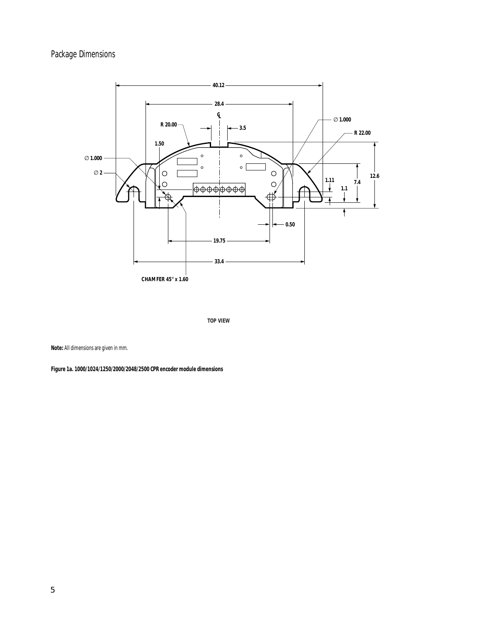# **Package Dimensions**



**TOP VIEW**

**Note:** All dimensions are given in mm.

**Figure 1a. 1000/1024/1250/2000/2048/2500 CPR encoder module dimensions**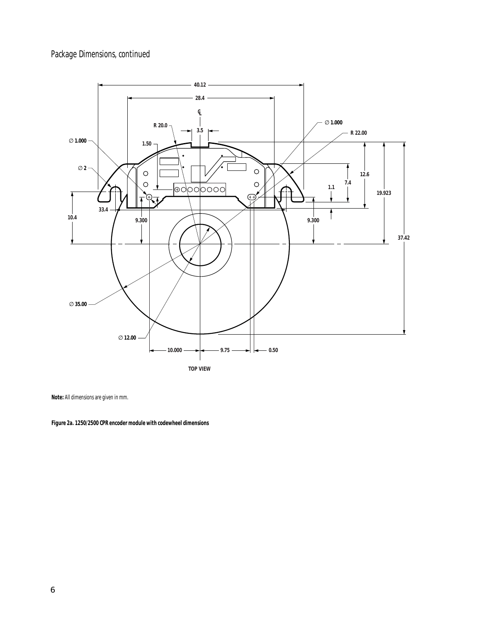# **Package Dimensions, continued**



**TOP VIEW**

**Note:** All dimensions are given in mm.

**Figure 2a. 1250/2500 CPR encoder module with codewheel dimensions**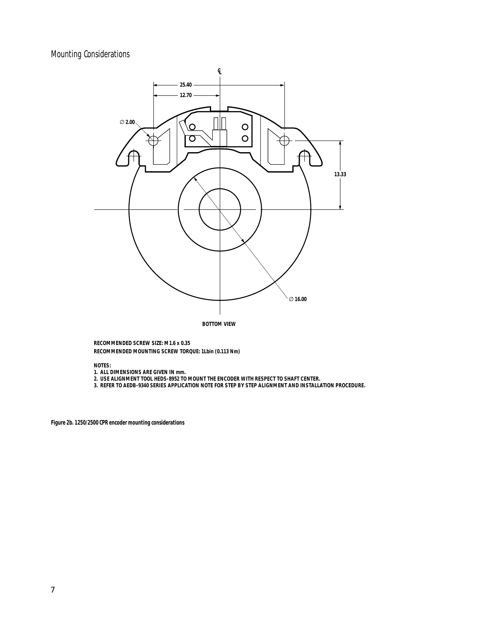# **Mounting Considerations**



**BOTTOM VIEW**

**RECOMMENDED SCREW SIZE: M1.6 x 0.35 RECOMMENDED MOUNTING SCREW TORQUE: 1Lbin (0.113 Nm)**

**NOTES:**

**1. ALL DIMENSIONS ARE GIVEN IN mm.**

**2. USE ALIGNMENT TOOL HEDS-8952 TO MOUNT THE ENCODER WITH RESPECT TO SHAFT CENTER.**

**3. REFER TO AEDB-9340 SERIES APPLICATION NOTE FOR STEP BY STEP ALIGNMENT AND INSTALLATION PROCEDURE.**

**Figure 2b. 1250/2500 CPR encoder mounting considerations**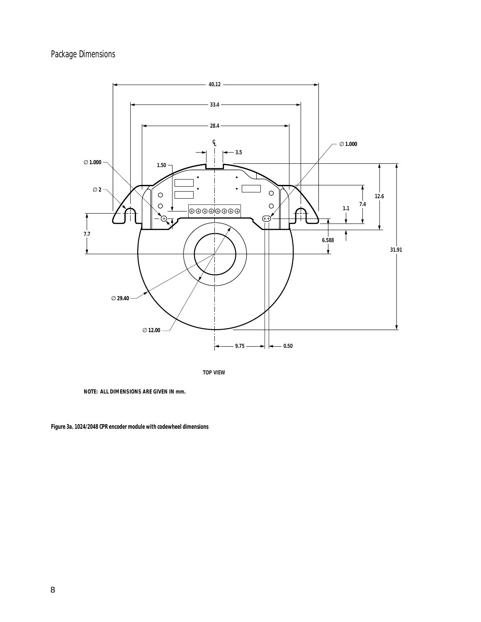# **Package Dimensions**



**TOP VIEW**

**NOTE: ALL DIMENSIONS ARE GIVEN IN mm.**

**Figure 3a. 1024/2048 CPR encoder module with codewheel dimensions**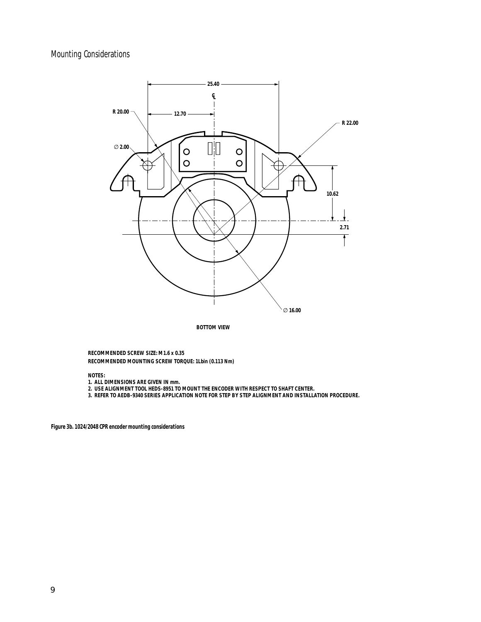# **Mounting Considerations**



**BOTTOM VIEW**

**RECOMMENDED SCREW SIZE: M1.6 x 0.35 RECOMMENDED MOUNTING SCREW TORQUE: 1Lbin (0.113 Nm)**

**NOTES:**

- **1. ALL DIMENSIONS ARE GIVEN IN mm.**
- **2. USE ALIGNMENT TOOL HEDS-8951 TO MOUNT THE ENCODER WITH RESPECT TO SHAFT CENTER.**

**3. REFER TO AEDB-9340 SERIES APPLICATION NOTE FOR STEP BY STEP ALIGNMENT AND INSTALLATION PROCEDURE.**

**Figure 3b. 1024/2048 CPR encoder mounting considerations**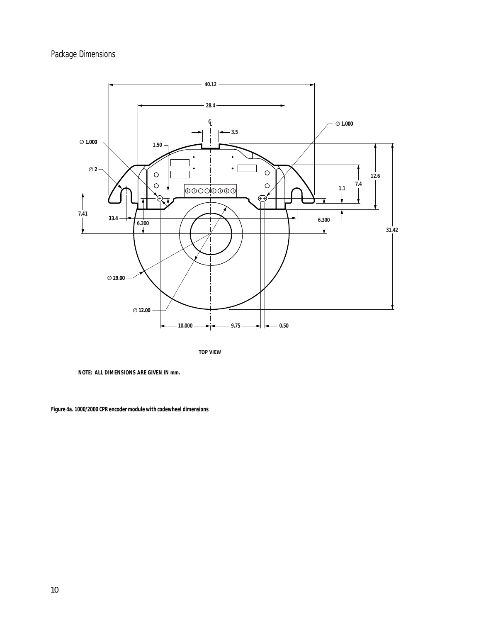# **Package Dimensions**



**TOP VIEW**

**NOTE: ALL DIMENSIONS ARE GIVEN IN mm.**

**Figure 4a. 1000/2000 CPR encoder module with codewheel dimensions**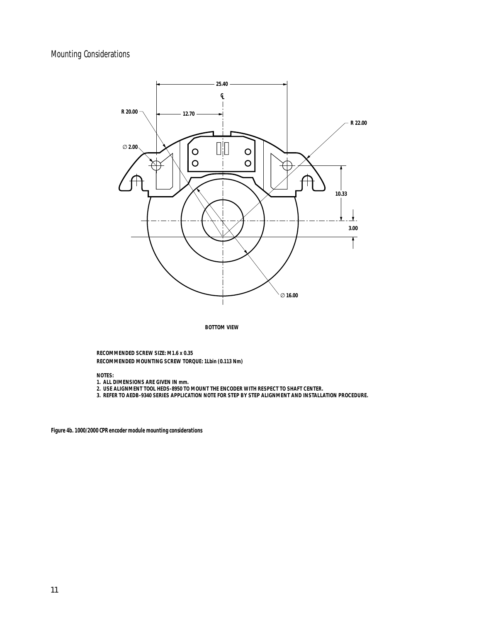### **Mounting Considerations**



**BOTTOM VIEW**

**RECOMMENDED SCREW SIZE: M1.6 x 0.35 RECOMMENDED MOUNTING SCREW TORQUE: 1Lbin (0.113 Nm)**

**NOTES:**

- **1. ALL DIMENSIONS ARE GIVEN IN mm.**
- **2. USE ALIGNMENT TOOL HEDS-8950 TO MOUNT THE ENCODER WITH RESPECT TO SHAFT CENTER.**

**3. REFER TO AEDB-9340 SERIES APPLICATION NOTE FOR STEP BY STEP ALIGNMENT AND INSTALLATION PROCEDURE.**

**Figure 4b. 1000/2000 CPR encoder module mounting considerations**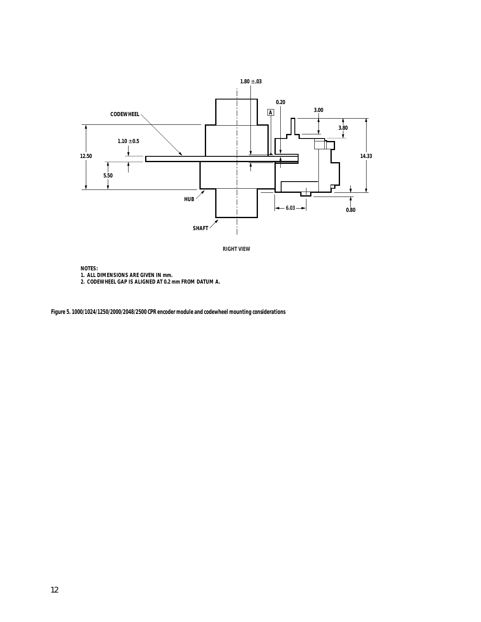



**NOTES:**

- **1. ALL DIMENSIONS ARE GIVEN IN mm.**
- **2. CODEWHEEL GAP IS ALIGNED AT 0.2 mm FROM DATUM A.**

**Figure 5. 1000/1024/1250/2000/2048/2500 CPR encoder module and codewheel mounting considerations**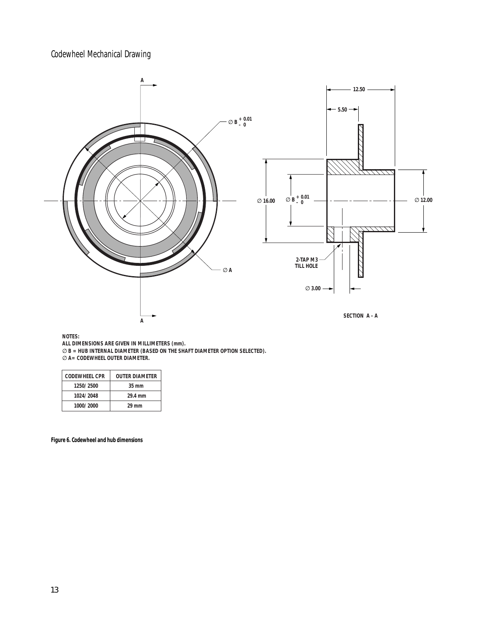**Codewheel Mechanical Drawing**



**NOTES:**

**ALL DIMENSIONS ARE GIVEN IN MILLIMETERS (mm).**

∅ **B = HUB INTERNAL DIAMETER (BASED ON THE SHAFT DIAMETER OPTION SELECTED).**

∅ **A= CODEWHEEL OUTER DIAMETER.**

| CODEWHEEL CPR | <b>OUTER DIAMETER</b> |
|---------------|-----------------------|
| 1250/2500     | $35 \text{ mm}$       |
| 1024/2048     | 29.4 mm               |
| 1000/2000     | 29 mm                 |

#### **Figure 6. Codewheel and hub dimensions**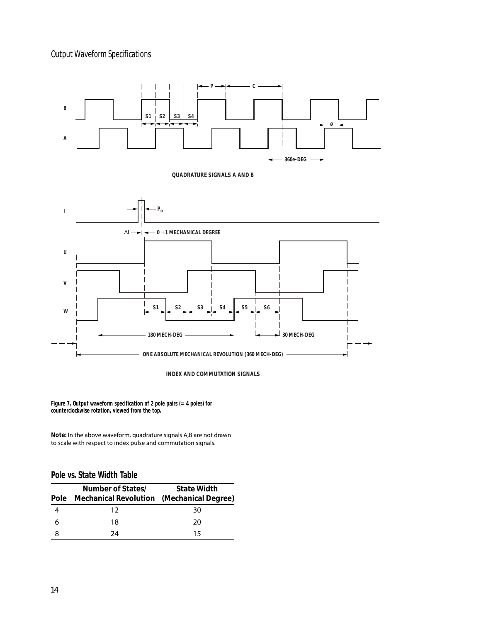# **Output Waveform Specifications**



**INDEX AND COMMUTATION SIGNALS**

**Figure 7. Output waveform specification of 2 pole pairs (= 4 poles) for counterclockwise rotation, viewed from the top.**

**Note:** In the above waveform, quadrature signals A,B are not drawn to scale with respect to index pulse and commutation signals.

### **Pole vs. State Width Table**

| <b>Pole</b> | Number of States/<br><b>Mechanical Revolution</b> (Mechanical Degree) | <b>State Width</b> |
|-------------|-----------------------------------------------------------------------|--------------------|
|             | 12                                                                    | 30                 |
|             | 18                                                                    | 20                 |
|             | 24                                                                    | 15                 |